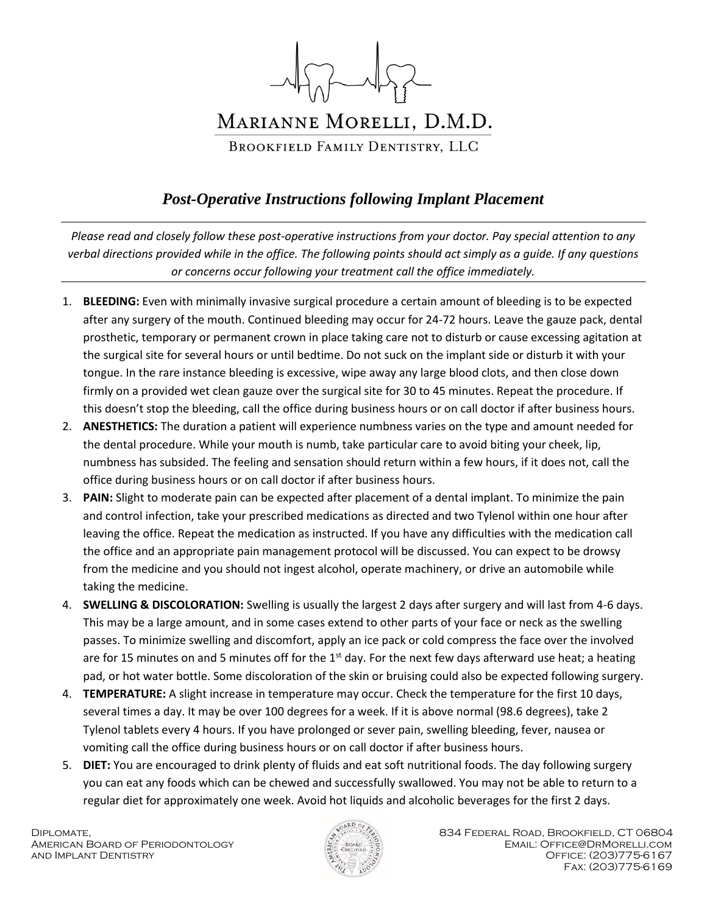

## *Post-Operative Instructions following Implant Placement*

*Please read and closely follow these post-operative instructions from your doctor. Pay special attention to any verbal directions provided while in the office. The following points should act simply as a guide. If any questions or concerns occur following your treatment call the office immediately.* 

- 1. **BLEEDING:** Even with minimally invasive surgical procedure a certain amount of bleeding is to be expected after any surgery of the mouth. Continued bleeding may occur for 24-72 hours. Leave the gauze pack, dental prosthetic, temporary or permanent crown in place taking care not to disturb or cause excessing agitation at the surgical site for several hours or until bedtime. Do not suck on the implant side or disturb it with your tongue. In the rare instance bleeding is excessive, wipe away any large blood clots, and then close down firmly on a provided wet clean gauze over the surgical site for 30 to 45 minutes. Repeat the procedure. If this doesn't stop the bleeding, call the office during business hours or on call doctor if after business hours.
- 2. **ANESTHETICS:** The duration a patient will experience numbness varies on the type and amount needed for the dental procedure. While your mouth is numb, take particular care to avoid biting your cheek, lip, numbness has subsided. The feeling and sensation should return within a few hours, if it does not, call the office during business hours or on call doctor if after business hours.
- 3. **PAIN:** Slight to moderate pain can be expected after placement of a dental implant. To minimize the pain and control infection, take your prescribed medications as directed and two Tylenol within one hour after leaving the office. Repeat the medication as instructed. If you have any difficulties with the medication call the office and an appropriate pain management protocol will be discussed. You can expect to be drowsy from the medicine and you should not ingest alcohol, operate machinery, or drive an automobile while taking the medicine.
- 4. **SWELLING & DISCOLORATION:** Swelling is usually the largest 2 days after surgery and will last from 4-6 days. This may be a large amount, and in some cases extend to other parts of your face or neck as the swelling passes. To minimize swelling and discomfort, apply an ice pack or cold compress the face over the involved are for 15 minutes on and 5 minutes off for the 1<sup>st</sup> day. For the next few days afterward use heat; a heating pad, or hot water bottle. Some discoloration of the skin or bruising could also be expected following surgery.
- 4. **TEMPERATURE:** A slight increase in temperature may occur. Check the temperature for the first 10 days, several times a day. It may be over 100 degrees for a week. If it is above normal (98.6 degrees), take 2 Tylenol tablets every 4 hours. If you have prolonged or sever pain, swelling bleeding, fever, nausea or vomiting call the office during business hours or on call doctor if after business hours.
- 5. **DIET:** You are encouraged to drink plenty of fluids and eat soft nutritional foods. The day following surgery you can eat any foods which can be chewed and successfully swallowed. You may not be able to return to a regular diet for approximately one week. Avoid hot liquids and alcoholic beverages for the first 2 days.